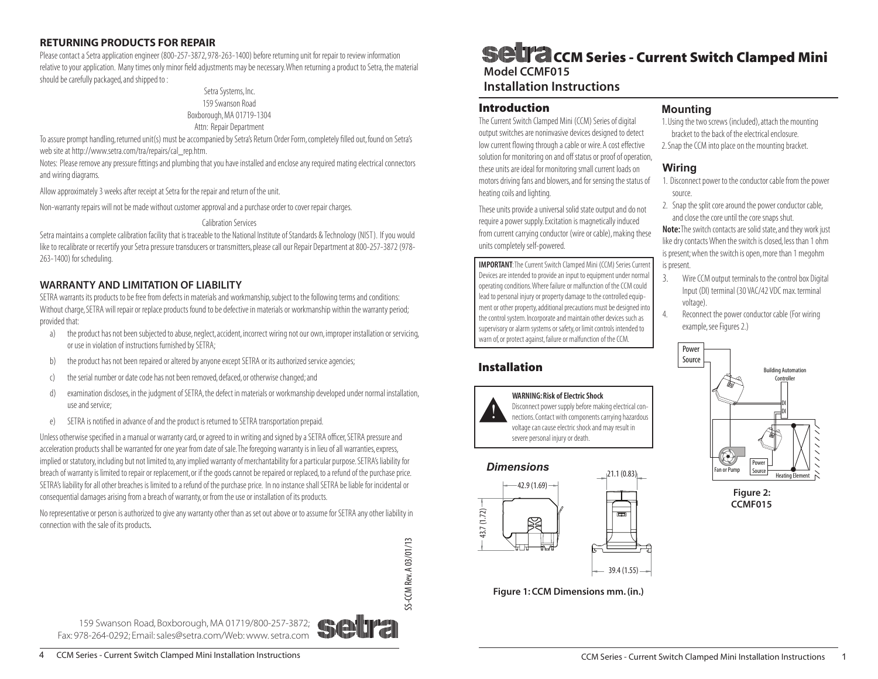### RETURNING PRODUCTS FOR REPAIR

Please contact a Setra application engineer (800-257-3872, 978-263-1400) before returning unit for repair to review information relative to your application. Many times only minor field adjustments may be necessary. When returning a product to Setra, the material should be carefully packaged, and shipped to :

#### Setra Systems, Inc. 159 Swanson Road Boxborough, MA 01719-1304 Attn: Repair Department

To assure prompt handling, returned unit(s) must be accompanied by Setra's Return Order Form, completely filled out, found on Setra's web site at http://www.setra.com/tra/repairs/cal\_rep.htm.

Notes: Please remove any pressure fittings and plumbing that you have installed and enclose any required mating electrical connectors and wiring diagrams.

Allow approximately 3 weeks after receipt at Setra for the repair and return of the unit.

Non-warranty repairs will not be made without customer approval and a purchase order to cover repair charges.

### Calibration Services

Setra maintains a complete calibration facility that is traceable to the National Institute of Standards & Technology (NIST). If you would like to recalibrate or recertify your Setra pressure transducers or transmitters, please call our Repair Department at 800-257-3872 (978- 263-1400) for scheduling.

## WARRANTY AND LIMITATION OF LIABILITY

SETRA warrants its products to be free from defects in materials and workmanship, subject to the following terms and conditions: Without charge, SETRA will repair or replace products found to be defective in materials or workmanship within the warranty period; provided that:

- a) the product has not been subjected to abuse, neglect, accident, incorrect wiring not our own, improper installation or servicing, or use in violation of instructions furnished by SETRA;
- b) the product has not been repaired or altered by anyone except SETRA or its authorized service agencies;
- c) the serial number or date code has not been removed, defaced, or otherwise changed; and
- d) examination discloses, in the judgment of SETRA, the defect in materials or workmanship developed under normal installation, use and service;
- e) SETRA is notified in advance of and the product is returned to SETRA transportation prepaid.

Unless otherwise specified in a manual or warranty card, or agreed to in writing and signed by a SETRA officer, SETRA pressure and acceleration products shall be warranted for one year from date of sale. The foregoing warranty is in lieu of all warranties, express, implied or statutory, including but not limited to, any implied warranty of merchantability for a particular purpose. SETRA's liability for breach of warranty is limited to repair or replacement, or if the goods cannot be repaired or replaced, to a refund of the purchase price. SETRA's liability for all other breaches is limited to a refund of the purchase price. In no instance shall SETRA be liable for incidental or consequential damages arising from a breach of warranty, or from the use or installation of its products.

No representative or person is authorized to give any warranty other than as set out above or to assume for SETRA any other liability in connection with the sale of its products.

# **SCII'a com Series - Current Switch Clamped Mini** Model CCMF015

# Installation Instructions

## Introduction

The Current Switch Clamped Mini (CCM) Series of digital output switches are noninvasive devices designed to detect low current flowing through a cable or wire. A cost effective solution for monitoring on and off status or proof of operation, these units are ideal for monitoring small current loads on motors driving fans and blowers, and for sensing the status of heating coils and lighting.

These units provide a universal solid state output and do not require a power supply. Excitation is magnetically induced from current carrying conductor (wire or cable), making these units completely self-powered.

Important: The Current Switch Clamped Mini (CCM) Series Current Devices are intended to provide an input to equipment under normal operating conditions. Where failure or malfunction of the CCM could lead to personal injury or property damage to the controlled equipment or other property, additional precautions must be designed into the control system. Incorporate and maintain other devices such as supervisory or alarm systems or safety, or limit controls intended to warn of, or protect against, failure or malfunction of the CCM.

# Installation



WARNING: Risk of Electric Shock Disconnect power supply before making electrical connections. Contact with components carrying hazardous voltage can cause electric shock and may result in severe personal injury or death.



Figure 1: CCM Dimensions mm. (in.)

## **Mounting**

- 1. Using the two screws (included), attach the mounting bracket to the back of the electrical enclosure.
- 2. Snap the CCM into place on the mounting bracket.

## **Wiring**

- 1. Disconnect power to the conductor cable from the power source.
- 2. Snap the split core around the power conductor cable, and close the core until the core snaps shut.

Note: The switch contacts are solid state, and they work just like dry contacts When the switch is closed, less than 1 ohm is present; when the switch is open, more than 1 megohm is present.

- 3. Wire CCM output terminals to the control box Digital Input (DI) terminal (30 VAC/42 VDC max. terminal voltage).
	- 4. Reconnect the power conductor cable (For wiring example, see Figures 2.)



Figure 2: CCMF015



SS-CCM Rev. A 03/01/13

SS-CCM Rev. A 03/01/13